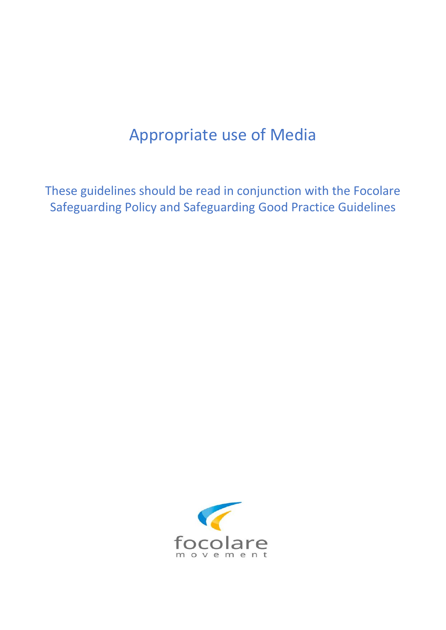# Appropriate use of Media

These guidelines should be read in conjunction with the Focolare Safeguarding Policy and Safeguarding Good Practice Guidelines

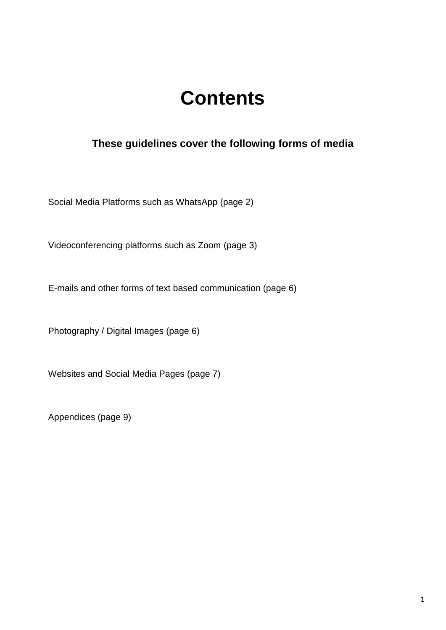# **Contents**

# **These guidelines cover the following forms of media**

Social Media Platforms such as WhatsApp (page 2)

Videoconferencing platforms such as Zoom (page 3)

E-mails and other forms of text based communication (page 6)

Photography / Digital Images (page 6)

Websites and Social Media Pages (page 7)

Appendices (page 9)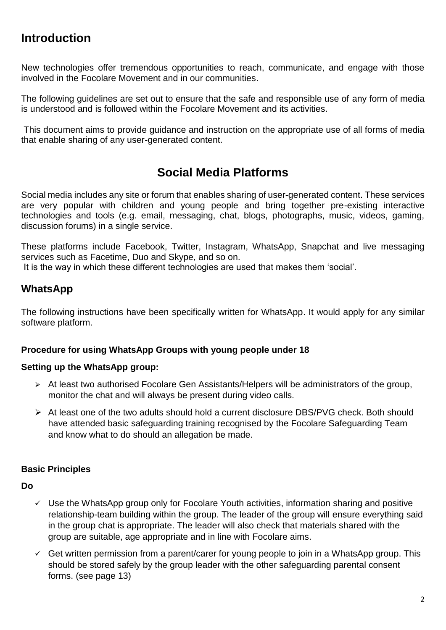# **Introduction**

New technologies offer tremendous opportunities to reach, communicate, and engage with those involved in the Focolare Movement and in our communities.

The following guidelines are set out to ensure that the safe and responsible use of any form of media is understood and is followed within the Focolare Movement and its activities.

This document aims to provide guidance and instruction on the appropriate use of all forms of media that enable sharing of any user-generated content.

# **Social Media Platforms**

Social media includes any site or forum that enables sharing of user-generated content. These services are very popular with children and young people and bring together pre-existing interactive technologies and tools (e.g. email, messaging, chat, blogs, photographs, music, videos, gaming, discussion forums) in a single service.

These platforms include Facebook, Twitter, Instagram, WhatsApp, Snapchat and live messaging services such as Facetime, Duo and Skype, and so on.

It is the way in which these different technologies are used that makes them 'social'.

# **WhatsApp**

The following instructions have been specifically written for WhatsApp. It would apply for any similar software platform.

#### **Procedure for using WhatsApp Groups with young people under 18**

#### **Setting up the WhatsApp group:**

- $\triangleright$  At least two authorised Focolare Gen Assistants/Helpers will be administrators of the group, monitor the chat and will always be present during video calls.
- At least one of the two adults should hold a current disclosure DBS/PVG check. Both should have attended basic safeguarding training recognised by the Focolare Safeguarding Team and know what to do should an allegation be made.

### **Basic Principles**

**Do**

- $\checkmark$  Use the WhatsApp group only for Focolare Youth activities, information sharing and positive relationship-team building within the group. The leader of the group will ensure everything said in the group chat is appropriate. The leader will also check that materials shared with the group are suitable, age appropriate and in line with Focolare aims.
- $\checkmark$  Get written permission from a parent/carer for young people to join in a WhatsApp group. This should be stored safely by the group leader with the other safeguarding parental consent forms. (see page 13)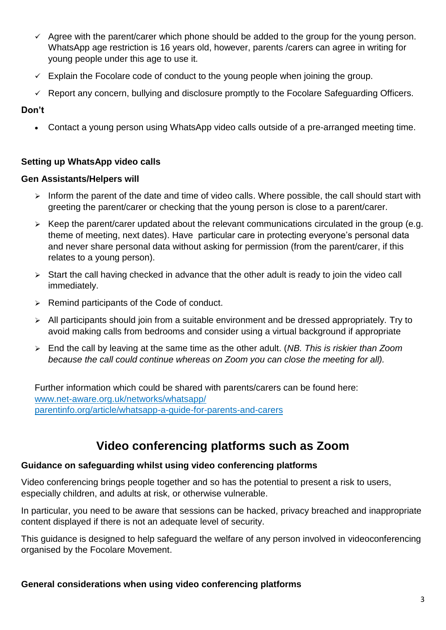- $\checkmark$  Agree with the parent/carer which phone should be added to the group for the young person. WhatsApp age restriction is 16 years old, however, parents /carers can agree in writing for young people under this age to use it.
- $\checkmark$  Explain the Focolare code of conduct to the young people when joining the group.
- $\checkmark$  Report any concern, bullying and disclosure promptly to the Focolare Safeguarding Officers.

#### **Don't**

Contact a young person using WhatsApp video calls outside of a pre-arranged meeting time.

#### **Setting up WhatsApp video calls**

#### **Gen Assistants/Helpers will**

- $\triangleright$  Inform the parent of the date and time of video calls. Where possible, the call should start with greeting the parent/carer or checking that the young person is close to a parent/carer.
- $\triangleright$  Keep the parent/carer updated about the relevant communications circulated in the group (e.g. theme of meeting, next dates). Have particular care in protecting everyone's personal data and never share personal data without asking for permission (from the parent/carer, if this relates to a young person).
- $\triangleright$  Start the call having checked in advance that the other adult is ready to join the video call immediately.
- $\triangleright$  Remind participants of the Code of conduct.
- $\triangleright$  All participants should join from a suitable environment and be dressed appropriately. Try to avoid making calls from bedrooms and consider using a virtual background if appropriate
- End the call by leaving at the same time as the other adult. (*NB. This is riskier than Zoom because the call could continue whereas on Zoom you can close the meeting for all).*

Further information which could be shared with parents/carers can be found here: [www.net-aware.org.uk/networks/whatsapp/](http://www.net-aware.org.uk/networks/whatsapp/)  [parentinfo.org/article/whatsapp-a-guide-for-parents-and-carers](https://parentinfo.org/article/whatsapp-a-guide-for-parents-and-carers)

# **Video conferencing platforms such as Zoom**

#### **Guidance on safeguarding whilst using video conferencing platforms**

Video conferencing brings people together and so has the potential to present a risk to users, especially children, and adults at risk, or otherwise vulnerable.

In particular, you need to be aware that sessions can be hacked, privacy breached and inappropriate content displayed if there is not an adequate level of security.

This guidance is designed to help safeguard the welfare of any person involved in videoconferencing organised by the Focolare Movement.

#### **General considerations when using video conferencing platforms**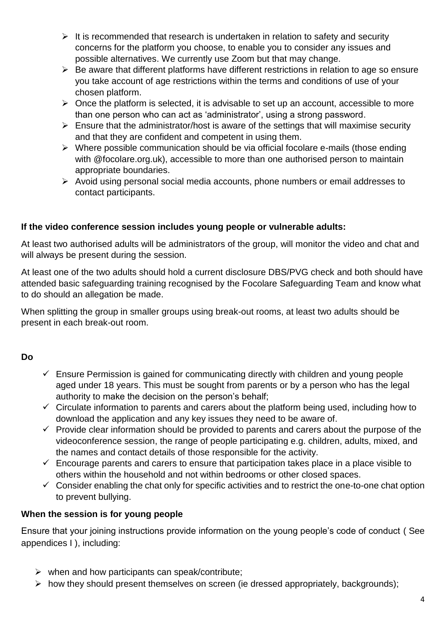- $\triangleright$  It is recommended that research is undertaken in relation to safety and security concerns for the platform you choose, to enable you to consider any issues and possible alternatives. We currently use Zoom but that may change.
- $\triangleright$  Be aware that different platforms have different restrictions in relation to age so ensure you take account of age restrictions within the terms and conditions of use of your chosen platform.
- $\triangleright$  Once the platform is selected, it is advisable to set up an account, accessible to more than one person who can act as 'administrator', using a strong password.
- $\triangleright$  Ensure that the administrator/host is aware of the settings that will maximise security and that they are confident and competent in using them.
- $\triangleright$  Where possible communication should be via official focolare e-mails (those ending with @focolare.org.uk), accessible to more than one authorised person to maintain appropriate boundaries.
- $\triangleright$  Avoid using personal social media accounts, phone numbers or email addresses to contact participants.

### **If the video conference session includes young people or vulnerable adults:**

At least two authorised adults will be administrators of the group, will monitor the video and chat and will always be present during the session.

At least one of the two adults should hold a current disclosure DBS/PVG check and both should have attended basic safeguarding training recognised by the Focolare Safeguarding Team and know what to do should an allegation be made.

When splitting the group in smaller groups using break-out rooms, at least two adults should be present in each break-out room.

### **Do**

- $\checkmark$  Ensure Permission is gained for communicating directly with children and young people aged under 18 years. This must be sought from parents or by a person who has the legal authority to make the decision on the person's behalf;
- $\checkmark$  Circulate information to parents and carers about the platform being used, including how to download the application and any key issues they need to be aware of.
- $\checkmark$  Provide clear information should be provided to parents and carers about the purpose of the videoconference session, the range of people participating e.g. children, adults, mixed, and the names and contact details of those responsible for the activity.
- $\checkmark$  Encourage parents and carers to ensure that participation takes place in a place visible to others within the household and not within bedrooms or other closed spaces.
- $\checkmark$  Consider enabling the chat only for specific activities and to restrict the one-to-one chat option to prevent bullying.

### **When the session is for young people**

Ensure that your joining instructions provide information on the young people's code of conduct ( See appendices I ), including:

- $\triangleright$  when and how participants can speak/contribute;
- $\triangleright$  how they should present themselves on screen (ie dressed appropriately, backgrounds);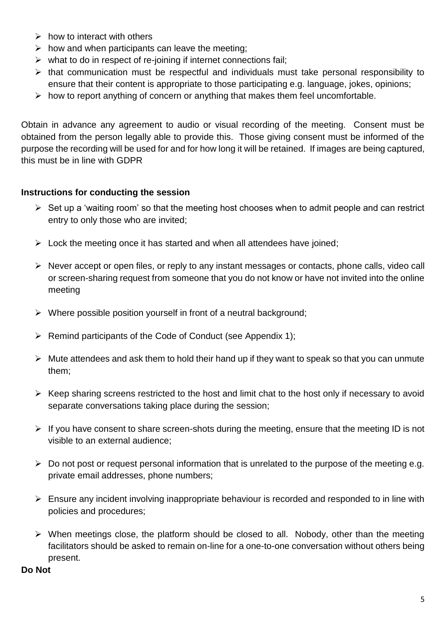- $\triangleright$  how to interact with others
- $\triangleright$  how and when participants can leave the meeting;
- $\triangleright$  what to do in respect of re-joining if internet connections fail;
- $\triangleright$  that communication must be respectful and individuals must take personal responsibility to ensure that their content is appropriate to those participating e.g. language, jokes, opinions;
- $\triangleright$  how to report anything of concern or anything that makes them feel uncomfortable.

Obtain in advance any agreement to audio or visual recording of the meeting. Consent must be obtained from the person legally able to provide this. Those giving consent must be informed of the purpose the recording will be used for and for how long it will be retained. If images are being captured, this must be in line with GDPR

### **Instructions for conducting the session**

- $\triangleright$  Set up a 'waiting room' so that the meeting host chooses when to admit people and can restrict entry to only those who are invited;
- $\triangleright$  Lock the meeting once it has started and when all attendees have joined;
- $\triangleright$  Never accept or open files, or reply to any instant messages or contacts, phone calls, video call or screen-sharing request from someone that you do not know or have not invited into the online meeting
- $\triangleright$  Where possible position yourself in front of a neutral background;
- $\triangleright$  Remind participants of the Code of Conduct (see Appendix 1);
- $\triangleright$  Mute attendees and ask them to hold their hand up if they want to speak so that you can unmute them;
- $\triangleright$  Keep sharing screens restricted to the host and limit chat to the host only if necessary to avoid separate conversations taking place during the session;
- $\triangleright$  If you have consent to share screen-shots during the meeting, ensure that the meeting ID is not visible to an external audience;
- $\triangleright$  Do not post or request personal information that is unrelated to the purpose of the meeting e.g. private email addresses, phone numbers;
- $\triangleright$  Ensure any incident involving inappropriate behaviour is recorded and responded to in line with policies and procedures;
- $\triangleright$  When meetings close, the platform should be closed to all. Nobody, other than the meeting facilitators should be asked to remain on-line for a one-to-one conversation without others being present.

#### **Do Not**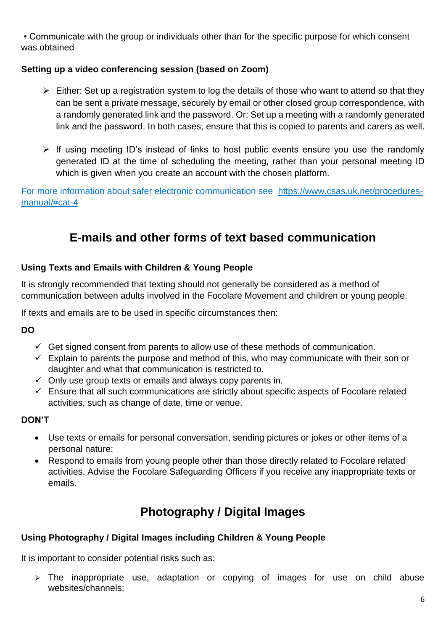• Communicate with the group or individuals other than for the specific purpose for which consent was obtained

### **Setting up a video conferencing session (based on Zoom)**

- $\triangleright$  Either: Set up a registration system to log the details of those who want to attend so that they can be sent a private message, securely by email or other closed group correspondence, with a randomly generated link and the password. Or: Set up a meeting with a randomly generated link and the password. In both cases, ensure that this is copied to parents and carers as well.
- $\triangleright$  If using meeting ID's instead of links to host public events ensure you use the randomly generated ID at the time of scheduling the meeting, rather than your personal meeting ID which is given when you create an account with the chosen platform.

For more information about safer electronic communication see [https://www.csas.uk.net/procedures](https://www.csas.uk.net/procedures-manual/#cat-4)[manual/#cat-4](https://www.csas.uk.net/procedures-manual/#cat-4)

# **E-mails and other forms of text based communication**

### **Using Texts and Emails with Children & Young People**

It is strongly recommended that texting should not generally be considered as a method of communication between adults involved in the Focolare Movement and children or young people.

If texts and emails are to be used in specific circumstances then:

**DO**

- $\checkmark$  Get signed consent from parents to allow use of these methods of communication.
- $\checkmark$  Explain to parents the purpose and method of this, who may communicate with their son or daughter and what that communication is restricted to.
- $\checkmark$  Only use group texts or emails and always copy parents in.
- $\checkmark$  Ensure that all such communications are strictly about specific aspects of Focolare related activities, such as change of date, time or venue.

### **DON'T**

- Use texts or emails for personal conversation, sending pictures or jokes or other items of a personal nature;
- Respond to emails from young people other than those directly related to Focolare related activities. Advise the Focolare Safeguarding Officers if you receive any inappropriate texts or emails.

# **Photography / Digital Images**

### **Using Photography / Digital Images including Children & Young People**

It is important to consider potential risks such as:

 $\geq$  The inappropriate use, adaptation or copying of images for use on child abuse websites/channels;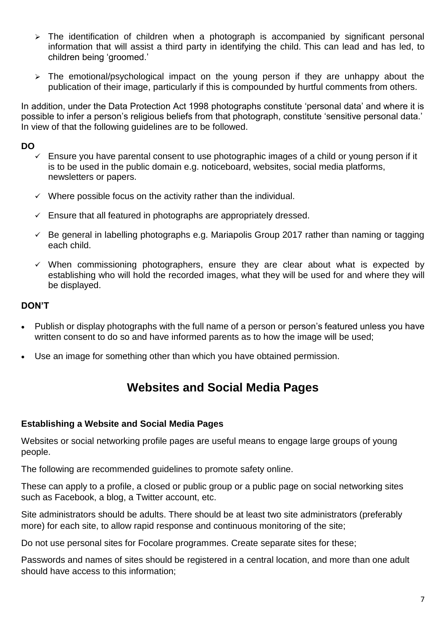- $\triangleright$  The identification of children when a photograph is accompanied by significant personal information that will assist a third party in identifying the child. This can lead and has led, to children being 'groomed.'
- $\triangleright$  The emotional/psychological impact on the young person if they are unhappy about the publication of their image, particularly if this is compounded by hurtful comments from others.

In addition, under the Data Protection Act 1998 photographs constitute 'personal data' and where it is possible to infer a person's religious beliefs from that photograph, constitute 'sensitive personal data.' In view of that the following guidelines are to be followed.

### **DO**

- $\checkmark$  Ensure you have parental consent to use photographic images of a child or young person if it is to be used in the public domain e.g. noticeboard, websites, social media platforms, newsletters or papers.
- $\checkmark$  Where possible focus on the activity rather than the individual.
- $\checkmark$  Ensure that all featured in photographs are appropriately dressed.
- $\leq$  Be general in labelling photographs e.g. Mariapolis Group 2017 rather than naming or tagging each child.
- $\checkmark$  When commissioning photographers, ensure they are clear about what is expected by establishing who will hold the recorded images, what they will be used for and where they will be displayed.

### **DON'T**

- Publish or display photographs with the full name of a person or person's featured unless you have written consent to do so and have informed parents as to how the image will be used;
- Use an image for something other than which you have obtained permission.

# **Websites and Social Media Pages**

#### **Establishing a Website and Social Media Pages**

Websites or social networking profile pages are useful means to engage large groups of young people.

The following are recommended guidelines to promote safety online.

These can apply to a profile, a closed or public group or a public page on social networking sites such as Facebook, a blog, a Twitter account, etc.

Site administrators should be adults. There should be at least two site administrators (preferably more) for each site, to allow rapid response and continuous monitoring of the site;

Do not use personal sites for Focolare programmes. Create separate sites for these;

Passwords and names of sites should be registered in a central location, and more than one adult should have access to this information;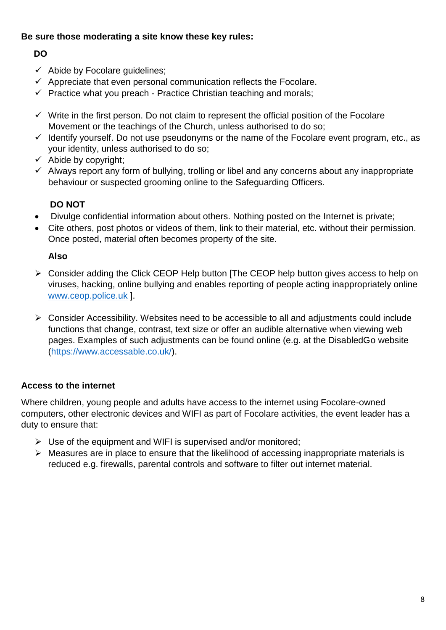### **Be sure those moderating a site know these key rules:**

### **DO**

- $\checkmark$  Abide by Focolare quidelines;
- $\checkmark$  Appreciate that even personal communication reflects the Focolare.
- $\checkmark$  Practice what you preach Practice Christian teaching and morals;
- $\checkmark$  Write in the first person. Do not claim to represent the official position of the Focolare Movement or the teachings of the Church, unless authorised to do so;
- $\checkmark$  Identify yourself. Do not use pseudonyms or the name of the Focolare event program, etc., as your identity, unless authorised to do so;
- $\checkmark$  Abide by copyright;
- $\checkmark$  Always report any form of bullying, trolling or libel and any concerns about any inappropriate behaviour or suspected grooming online to the Safeguarding Officers.

# **DO NOT**

- Divulge confidential information about others. Nothing posted on the Internet is private;
- Cite others, post photos or videos of them, link to their material, etc. without their permission. Once posted, material often becomes property of the site.

### **Also**

- Consider adding the Click CEOP Help button [The CEOP help button gives access to help on viruses, hacking, online bullying and enables reporting of people acting inappropriately online [www.ceop.police.uk](http://www.ceop.police.uk/) ].
- $\triangleright$  Consider Accessibility. Websites need to be accessible to all and adjustments could include functions that change, contrast, text size or offer an audible alternative when viewing web pages. Examples of such adjustments can be found online (e.g. at the DisabledGo website [\(https://www.accessable.co.uk/\)](https://www.accessable.co.uk/).

### **Access to the internet**

Where children, young people and adults have access to the internet using Focolare-owned computers, other electronic devices and WIFI as part of Focolare activities, the event leader has a duty to ensure that:

- $\triangleright$  Use of the equipment and WIFI is supervised and/or monitored:
- $\triangleright$  Measures are in place to ensure that the likelihood of accessing inappropriate materials is reduced e.g. firewalls, parental controls and software to filter out internet material.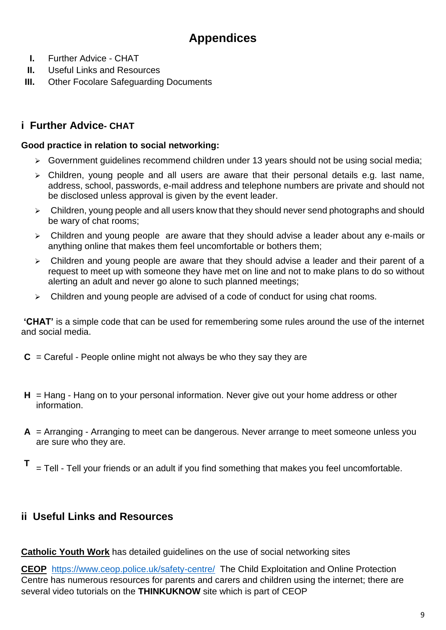# **Appendices**

- **I.** Further Advice CHAT
- **II.** Useful Links and Resources
- **III.** Other Focolare Safeguarding Documents

# **i Further Advice- CHAT**

#### **Good practice in relation to social networking:**

- $\triangleright$  Government guidelines recommend children under 13 years should not be using social media;
- $\triangleright$  Children, young people and all users are aware that their personal details e.g. last name, address, school, passwords, e-mail address and telephone numbers are private and should not be disclosed unless approval is given by the event leader.
- $\triangleright$  Children, young people and all users know that they should never send photographs and should be wary of chat rooms;
- $\triangleright$  Children and young people are aware that they should advise a leader about any e-mails or anything online that makes them feel uncomfortable or bothers them;
- $\triangleright$  Children and young people are aware that they should advise a leader and their parent of a request to meet up with someone they have met on line and not to make plans to do so without alerting an adult and never go alone to such planned meetings;
- $\triangleright$  Children and young people are advised of a code of conduct for using chat rooms.

**'CHAT'** is a simple code that can be used for remembering some rules around the use of the internet and social media.

- $C =$  Careful People online might not always be who they say they are
- **H** = Hang Hang on to your personal information. Never give out your home address or other information.
- **A** = Arranging Arranging to meet can be dangerous. Never arrange to meet someone unless you are sure who they are.
- **T** = Tell - Tell your friends or an adult if you find something that makes you feel uncomfortable.

# **ii Useful Links and Resources**

**Catholic Youth Work** has detailed guidelines on the use of social networking sites

**CEOP** <https://www.ceop.police.uk/safety-centre/>The Child Exploitation and Online Protection Centre has numerous resources for parents and carers and children using the internet; there are several video tutorials on the **THINKUKNOW** site which is part of CEOP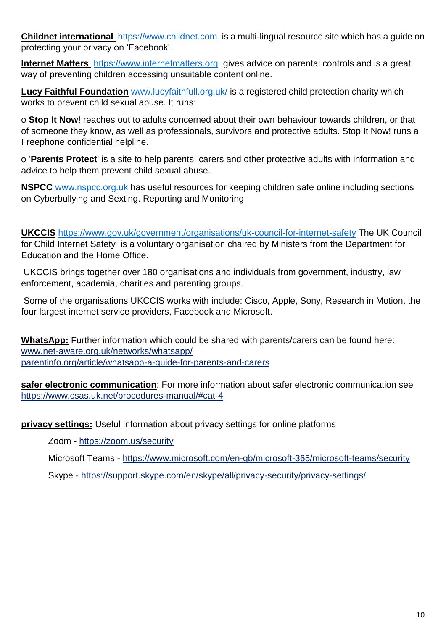**Childnet international** [https://www.childnet.com](https://www.childnet.com/) is a multi-lingual resource site which has a guide on protecting your privacy on 'Facebook'.

**Internet Matters** [https://www.internetmatters.org](https://www.internetmatters.org/) gives advice on parental controls and is a great way of preventing children accessing unsuitable content online.

**Lucy Faithful Foundation** [www.lucyfaithfull.org.uk/](http://www.lucyfaithfull.org.uk/) is a registered child protection charity which works to prevent child sexual abuse. It runs:

o **Stop It Now**! reaches out to adults concerned about their own behaviour towards children, or that of someone they know, as well as professionals, survivors and protective adults. Stop It Now! runs a Freephone confidential helpline.

o '**Parents Protect**' is a site to help parents, carers and other protective adults with information and advice to help them prevent child sexual abuse.

**[NSPCC](http://www.nspcc.org.uk/)** [www.nspcc.org.uk](http://www.nspcc.org.uk/) has useful resources for keeping children safe online including sections on Cyberbullying and Sexting. Reporting and Monitoring.

**UKCCIS** <https://www.gov.uk/government/organisations/uk-council-for-internet-safety> The UK Council for Child Internet Safety is a voluntary organisation chaired by Ministers from the Department for Education and the Home Office.

UKCCIS brings together over 180 organisations and individuals from government, industry, law enforcement, academia, charities and parenting groups.

Some of the organisations UKCCIS works with include: Cisco, Apple, Sony, Research in Motion, the four largest internet service providers, Facebook and Microsoft.

**WhatsApp:** Further information which could be shared with parents/carers can be found here: [www.net-aware.org.uk/networks/whatsapp/](http://www.net-aware.org.uk/networks/whatsapp/)  [parentinfo.org/article/whatsapp-a-guide-for-parents-and-carers](https://parentinfo.org/article/whatsapp-a-guide-for-parents-and-carers)

**safer electronic communication**: For more information about safer electronic communication see <https://www.csas.uk.net/procedures-manual/#cat-4>

**privacy settings:** Useful information about privacy settings for online platforms

Zoom - https://zoom.us/security

Microsoft Teams - <https://www.microsoft.com/en-gb/microsoft-365/microsoft-teams/security>

Skype - https://support.skype.com/en/skype/all/privacy-security/privacy-settings/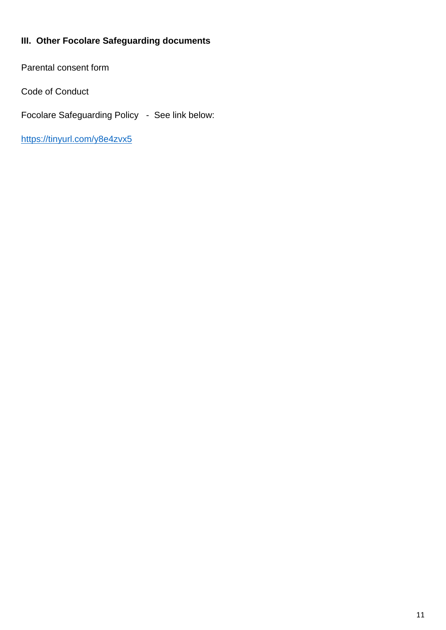# **III. Other Focolare Safeguarding documents**

Parental consent form

Code of Conduct

Focolare Safeguarding Policy - See link below:

<https://tinyurl.com/y8e4zvx5>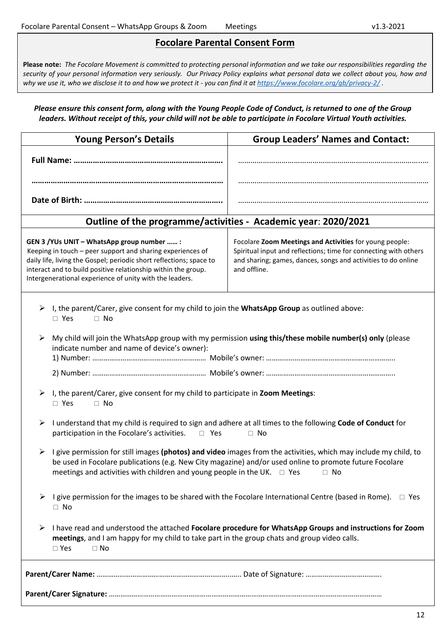#### **Focolare Parental Consent Form**

**Please note:** *The Focolare Movement is committed to protecting personal information and we take our responsibilities regarding the security of your personal information very seriously. Our Privacy Policy explains what personal data we collect about you, how and why we use it, who we disclose it to and how we protect it - you can find it at <https://www.focolare.org/gb/privacy-2/> .*

#### *Please ensure this consent form, along with the Young People Code of Conduct, is returned to one of the Group leaders. Without receipt of this, your child will not be able to participate in Focolare Virtual Youth activities.*

| <b>Young Person's Details</b>                                                                                                                                                                                                                                                                                                 | <b>Group Leaders' Names and Contact:</b>                                                                                                                                                                     |
|-------------------------------------------------------------------------------------------------------------------------------------------------------------------------------------------------------------------------------------------------------------------------------------------------------------------------------|--------------------------------------------------------------------------------------------------------------------------------------------------------------------------------------------------------------|
|                                                                                                                                                                                                                                                                                                                               |                                                                                                                                                                                                              |
|                                                                                                                                                                                                                                                                                                                               |                                                                                                                                                                                                              |
|                                                                                                                                                                                                                                                                                                                               |                                                                                                                                                                                                              |
| Outline of the programme/activities - Academic year: 2020/2021                                                                                                                                                                                                                                                                |                                                                                                                                                                                                              |
| GEN 3 / YUs UNIT - WhatsApp group number  :<br>Keeping in touch - peer support and sharing experiences of<br>daily life, living the Gospel; periodic short reflections; space to<br>interact and to build positive relationship within the group.<br>Intergenerational experience of unity with the leaders.                  | Focolare Zoom Meetings and Activities for young people:<br>Spiritual input and reflections; time for connecting with others<br>and sharing; games, dances, songs and activities to do online<br>and offline. |
| I, the parent/Carer, give consent for my child to join the WhatsApp Group as outlined above:<br>➤<br>$\Box$ Yes<br>$\Box$ No                                                                                                                                                                                                  |                                                                                                                                                                                                              |
| My child will join the WhatsApp group with my permission using this/these mobile number(s) only (please<br>➤<br>indicate number and name of device's owner):                                                                                                                                                                  |                                                                                                                                                                                                              |
|                                                                                                                                                                                                                                                                                                                               |                                                                                                                                                                                                              |
| I, the parent/Carer, give consent for my child to participate in Zoom Meetings:<br>➤<br>$\square$ Yes<br>$\Box$ No                                                                                                                                                                                                            |                                                                                                                                                                                                              |
| I understand that my child is required to sign and adhere at all times to the following Code of Conduct for<br>➤<br>participation in the Focolare's activities.<br>$\Box$ Yes<br>$\Box$ No                                                                                                                                    |                                                                                                                                                                                                              |
| I give permission for still images (photos) and video images from the activities, which may include my child, to<br>➤<br>be used in Focolare publications (e.g. New City magazine) and/or used online to promote future Focolare<br>meetings and activities with children and young people in the UK. $\Box$ Yes<br>$\Box$ No |                                                                                                                                                                                                              |
| I give permission for the images to be shared with the Focolare International Centre (based in Rome).<br>➤<br>$\Box$ Yes<br>$\Box$ No                                                                                                                                                                                         |                                                                                                                                                                                                              |
| I have read and understood the attached Focolare procedure for WhatsApp Groups and instructions for Zoom<br>➤<br>meetings, and I am happy for my child to take part in the group chats and group video calls.<br>$\square$ Yes<br>$\Box$ No                                                                                   |                                                                                                                                                                                                              |
|                                                                                                                                                                                                                                                                                                                               |                                                                                                                                                                                                              |
|                                                                                                                                                                                                                                                                                                                               |                                                                                                                                                                                                              |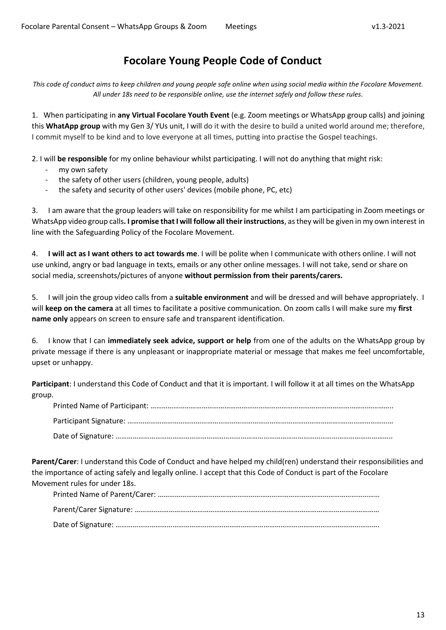# **Focolare Young People Code of Conduct**

*This code of conduct aims to keep children and young people safe online when using social media within the Focolare Movement. All under 18s need to be responsible online, use the internet safely and follow these rules.*

1. When participating in **any Virtual Focolare Youth Event** (e.g. Zoom meetings or WhatsApp group calls) and joining this **WhatApp group** with my Gen 3/ YUs unit, I will do it with the desire to build a united world around me; therefore, I commit myself to be kind and to love everyone at all times, putting into practise the Gospel teachings.

2. I will **be responsible** for my online behaviour whilst participating. I will not do anything that might risk:

- my own safety
- the safety of other users (children, young people, adults)
- the safety and security of other users' devices (mobile phone, PC, etc)

3. I am aware that the group leaders will take on responsibility for me whilst I am participating in Zoom meetings or WhatsApp video group calls**. I promise that I will follow all their instructions**, as they will be given in my own interest in line with the Safeguarding Policy of the Focolare Movement.

4. **I will act as I want others to act towards me**. I will be polite when I communicate with others online. I will not use unkind, angry or bad language in texts, emails or any other online messages. I will not take, send or share on social media, screenshots/pictures of anyone **without permission from their parents/carers.** 

5. I will join the group video calls from a **suitable environment** and will be dressed and will behave appropriately. I will **keep on the camera** at all times to facilitate a positive communication. On zoom calls I will make sure my **first name only** appears on screen to ensure safe and transparent identification.

6. I know that I can **immediately seek advice, support or help** from one of the adults on the WhatsApp group by private message if there is any unpleasant or inappropriate material or message that makes me feel uncomfortable, upset or unhappy.

**Participant**: I understand this Code of Conduct and that it is important. I will follow it at all times on the WhatsApp group.

**Parent/Carer**: I understand this Code of Conduct and have helped my child(ren) understand their responsibilities and the importance of acting safely and legally online. I accept that this Code of Conduct is part of the Focolare Movement rules for under 18s.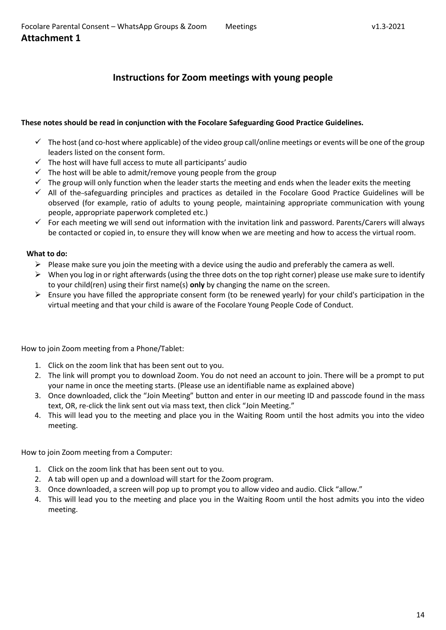## **Instructions for Zoom meetings with young people**

#### **These notes should be read in conjunction with the Focolare Safeguarding Good Practice Guidelines.**

- $\checkmark$  The host (and co-host where applicable) of the video group call/online meetings or events will be one of the group leaders listed on the consent form.
- $\checkmark$  The host will have full access to mute all participants' audio
- $\checkmark$  The host will be able to admit/remove young people from the group
- $\checkmark$  The group will only function when the leader starts the meeting and ends when the leader exits the meeting
- $\checkmark$  All of the-safeguarding principles and practices as detailed in the Focolare Good Practice Guidelines will be observed (for example, ratio of adults to young people, maintaining appropriate communication with young people, appropriate paperwork completed etc.)
- $\checkmark$  For each meeting we will send out information with the invitation link and password. Parents/Carers will always be contacted or copied in, to ensure they will know when we are meeting and how to access the virtual room.

#### **What to do:**

- $\triangleright$  Please make sure you join the meeting with a device using the audio and preferably the camera as well.
- $\triangleright$  When you log in or right afterwards (using the three dots on the top right corner) please use make sure to identify to your child(ren) using their first name(s) **only** by changing the name on the screen.
- Ensure you have filled the appropriate consent form (to be renewed yearly) for your child's participation in the virtual meeting and that your child is aware of the Focolare Young People Code of Conduct.

#### How to join Zoom meeting from a Phone/Tablet:

- 1. Click on the zoom link that has been sent out to you.
- 2. The link will prompt you to download Zoom. You do not need an account to join. There will be a prompt to put your name in once the meeting starts. (Please use an identifiable name as explained above)
- 3. Once downloaded, click the "Join Meeting" button and enter in our meeting ID and passcode found in the mass text, OR, re-click the link sent out via mass text, then click "Join Meeting."
- 4. This will lead you to the meeting and place you in the Waiting Room until the host admits you into the video meeting.

#### How to join Zoom meeting from a Computer:

- 1. Click on the zoom link that has been sent out to you.
- 2. A tab will open up and a download will start for the Zoom program.
- 3. Once downloaded, a screen will pop up to prompt you to allow video and audio. Click "allow."
- 4. This will lead you to the meeting and place you in the Waiting Room until the host admits you into the video meeting.